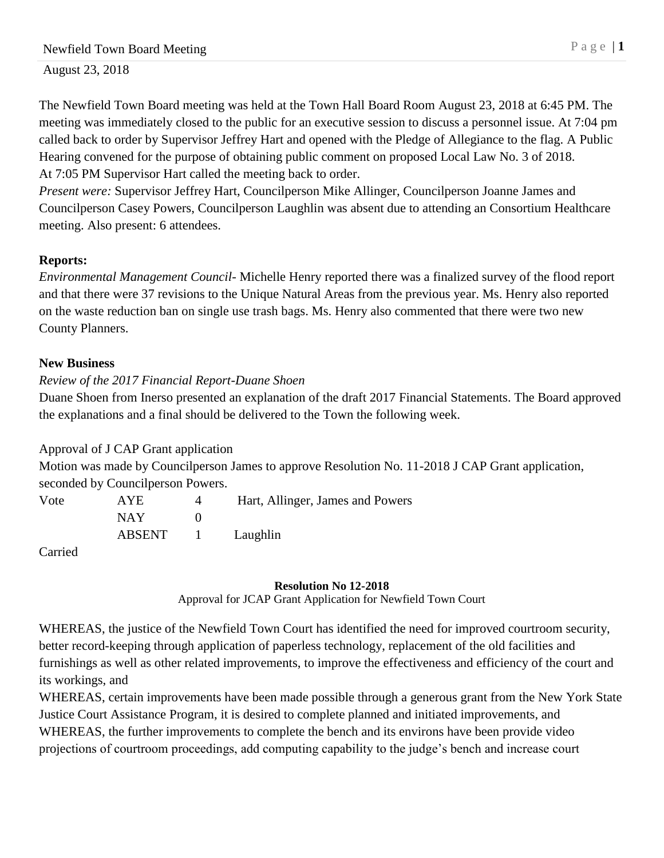August 23, 2018

The Newfield Town Board meeting was held at the Town Hall Board Room August 23, 2018 at 6:45 PM. The meeting was immediately closed to the public for an executive session to discuss a personnel issue. At 7:04 pm called back to order by Supervisor Jeffrey Hart and opened with the Pledge of Allegiance to the flag. A Public Hearing convened for the purpose of obtaining public comment on proposed Local Law No. 3 of 2018. At 7:05 PM Supervisor Hart called the meeting back to order.

*Present were:* Supervisor Jeffrey Hart, Councilperson Mike Allinger, Councilperson Joanne James and Councilperson Casey Powers, Councilperson Laughlin was absent due to attending an Consortium Healthcare meeting. Also present: 6 attendees.

# **Reports:**

*Environmental Management Council-* Michelle Henry reported there was a finalized survey of the flood report and that there were 37 revisions to the Unique Natural Areas from the previous year. Ms. Henry also reported on the waste reduction ban on single use trash bags. Ms. Henry also commented that there were two new County Planners.

## **New Business**

# *Review of the 2017 Financial Report-Duane Shoen*

Duane Shoen from Inerso presented an explanation of the draft 2017 Financial Statements. The Board approved the explanations and a final should be delivered to the Town the following week.

# Approval of J CAP Grant application

Motion was made by Councilperson James to approve Resolution No. 11-2018 J CAP Grant application, seconded by Councilperson Powers.

| Vote          | <b>AYE</b> | Hart, Allinger, James and Powers |
|---------------|------------|----------------------------------|
|               | NAY.       |                                  |
|               |            | ABSENT 1 Laughlin                |
| $\sim$ $\sim$ |            |                                  |

Carried

## **Resolution No 12-2018**

Approval for JCAP Grant Application for Newfield Town Court

WHEREAS, the justice of the Newfield Town Court has identified the need for improved courtroom security, better record-keeping through application of paperless technology, replacement of the old facilities and furnishings as well as other related improvements, to improve the effectiveness and efficiency of the court and its workings, and

WHEREAS, certain improvements have been made possible through a generous grant from the New York State Justice Court Assistance Program, it is desired to complete planned and initiated improvements, and WHEREAS, the further improvements to complete the bench and its environs have been provide video projections of courtroom proceedings, add computing capability to the judge's bench and increase court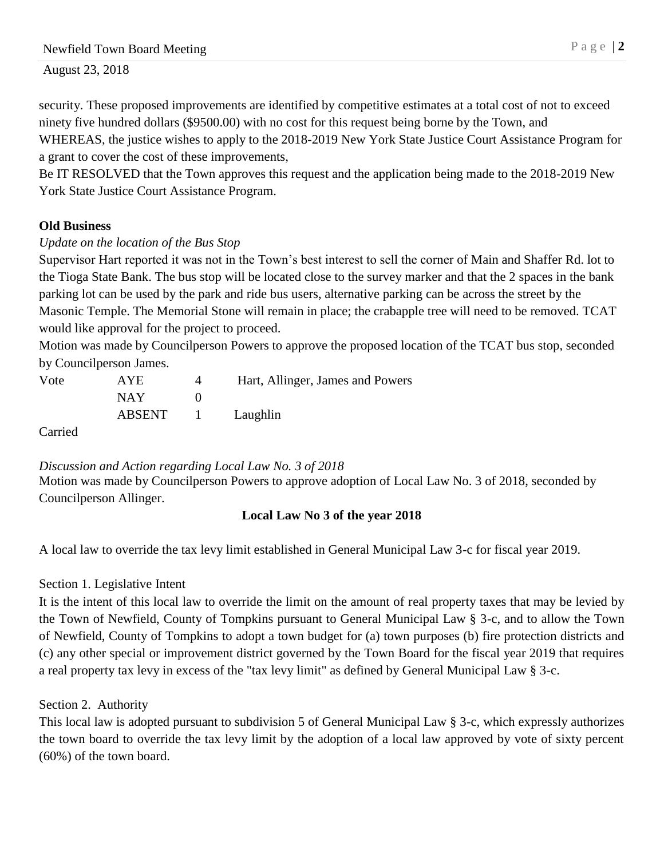# Newfield Town Board Meeting P a g e | 2

August 23, 2018

security. These proposed improvements are identified by competitive estimates at a total cost of not to exceed ninety five hundred dollars (\$9500.00) with no cost for this request being borne by the Town, and WHEREAS, the justice wishes to apply to the 2018-2019 New York State Justice Court Assistance Program for a grant to cover the cost of these improvements,

Be IT RESOLVED that the Town approves this request and the application being made to the 2018-2019 New York State Justice Court Assistance Program.

#### **Old Business**

#### *Update on the location of the Bus Stop*

Supervisor Hart reported it was not in the Town's best interest to sell the corner of Main and Shaffer Rd. lot to the Tioga State Bank. The bus stop will be located close to the survey marker and that the 2 spaces in the bank parking lot can be used by the park and ride bus users, alternative parking can be across the street by the Masonic Temple. The Memorial Stone will remain in place; the crabapple tree will need to be removed. TCAT would like approval for the project to proceed.

Motion was made by Councilperson Powers to approve the proposed location of the TCAT bus stop, seconded by Councilperson James.

| Vote                   | <b>AYE</b> | Hart, Allinger, James and Powers |
|------------------------|------------|----------------------------------|
|                        | NAY.       |                                  |
|                        |            | ABSENT 1 Laughlin                |
| $\sim$ $\cdot$ $\cdot$ |            |                                  |

Carried

*Discussion and Action regarding Local Law No. 3 of 2018*

Motion was made by Councilperson Powers to approve adoption of Local Law No. 3 of 2018, seconded by Councilperson Allinger.

## **Local Law No 3 of the year 2018**

A local law to override the tax levy limit established in General Municipal Law 3-c for fiscal year 2019.

Section 1. Legislative Intent

It is the intent of this local law to override the limit on the amount of real property taxes that may be levied by the Town of Newfield, County of Tompkins pursuant to General Municipal Law § 3-c, and to allow the Town of Newfield, County of Tompkins to adopt a town budget for (a) town purposes (b) fire protection districts and (c) any other special or improvement district governed by the Town Board for the fiscal year 2019 that requires a real property tax levy in excess of the "tax levy limit" as defined by General Municipal Law § 3-c.

Section 2. Authority

This local law is adopted pursuant to subdivision 5 of General Municipal Law § 3-c, which expressly authorizes the town board to override the tax levy limit by the adoption of a local law approved by vote of sixty percent (60%) of the town board.